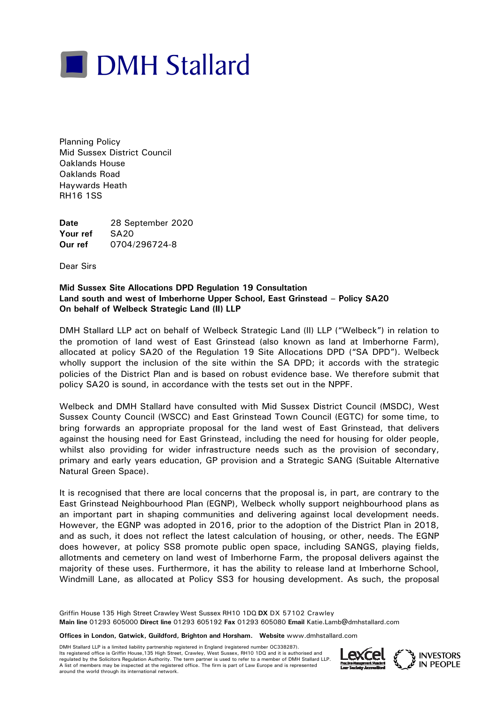

Planning Policy Mid Sussex District Council Oaklands House Oaklands Road Haywards Heath RH16 1SS

**Date** 28 September 2020 Your ref SA20 **Our ref** 0704/296724-8

Dear Sirs

## **Mid Sussex Site Allocations DPD Regulation 19 Consultation Land south and west of Imberhorne Upper School, East Grinstead – Policy SA20 On behalf of Welbeck Strategic Land (II) LLP**

DMH Stallard LLP act on behalf of Welbeck Strategic Land (II) LLP ("Welbeck") in relation to the promotion of land west of East Grinstead (also known as land at Imberhorne Farm), allocated at policy SA20 of the Regulation 19 Site Allocations DPD ("SA DPD"). Welbeck wholly support the inclusion of the site within the SA DPD; it accords with the strategic policies of the District Plan and is based on robust evidence base. We therefore submit that policy SA20 is sound, in accordance with the tests set out in the NPPF.

Welbeck and DMH Stallard have consulted with Mid Sussex District Council (MSDC), West Sussex County Council (WSCC) and East Grinstead Town Council (EGTC) for some time, to bring forwards an appropriate proposal for the land west of East Grinstead, that delivers against the housing need for East Grinstead, including the need for housing for older people, whilst also providing for wider infrastructure needs such as the provision of secondary, primary and early years education, GP provision and a Strategic SANG (Suitable Alternative Natural Green Space).

It is recognised that there are local concerns that the proposal is, in part, are contrary to the East Grinstead Neighbourhood Plan (EGNP), Welbeck wholly support neighbourhood plans as an important part in shaping communities and delivering against local development needs. However, the EGNP was adopted in 2016, prior to the adoption of the District Plan in 2018, and as such, it does not reflect the latest calculation of housing, or other, needs. The EGNP does however, at policy SS8 promote public open space, including SANGS, playing fields, allotments and cemetery on land west of Imberhorne Farm, the proposal delivers against the majority of these uses. Furthermore, it has the ability to release land at Imberhorne School, Windmill Lane, as allocated at Policy SS3 for housing development. As such, the proposal

Griffin House 135 High Street Crawley West Sussex RH10 1DQ **DX** DX 57102 Crawley **Main line** 01293 605000 **Direct line** 01293 605192 **Fax** 01293 605080 **Email** Katie.Lamb@dmhstallard.com

**Offices in London, Gatwick, Guildford, Brighton and Horsham. Website** www.dmhstallard.com

DMH Stallard LLP is a limited liability partnership registered in England (registered number OC338287). Its registered office is Griffin House,135 High Street, Crawley, West Sussex, RH10 1DQ and it is authorised and regulated by the Solicitors Regulation Authority. The term partner is used to refer to a member of DMH Stallard LLP. A list of members may be inspected at the registered office. The firm is part of Law Europe and is represented<br>around the world through its international network. Its registered office is Griffin House, 135 High Street, Crawley, West Sussex, RH10 1DQ and it is authorised and<br>A list of members may be inspected at the registered office. The firm is part of Law Europe and is represente

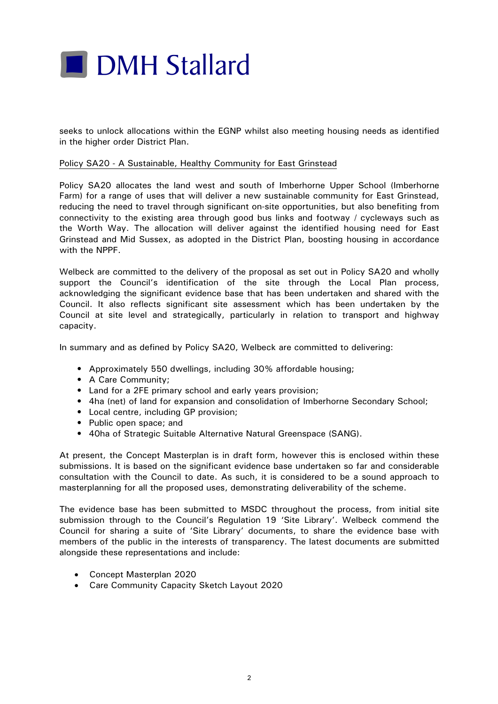

seeks to unlock allocations within the EGNP whilst also meeting housing needs as identified in the higher order District Plan.

## Policy SA20 - A Sustainable, Healthy Community for East Grinstead

Policy SA20 allocates the land west and south of Imberhorne Upper School (Imberhorne Farm) for a range of uses that will deliver a new sustainable community for East Grinstead, reducing the need to travel through significant on-site opportunities, but also benefiting from connectivity to the existing area through good bus links and footway / cycleways such as the Worth Way. The allocation will deliver against the identified housing need for East Grinstead and Mid Sussex, as adopted in the District Plan, boosting housing in accordance with the NPPF.

Welbeck are committed to the delivery of the proposal as set out in Policy SA20 and wholly support the Council's identification of the site through the Local Plan process, acknowledging the significant evidence base that has been undertaken and shared with the Council. It also reflects significant site assessment which has been undertaken by the Council at site level and strategically, particularly in relation to transport and highway capacity.

In summary and as defined by Policy SA20, Welbeck are committed to delivering:

- Approximately 550 dwellings, including 30% affordable housing;
- A Care Community;
- Land for a 2FE primary school and early years provision;
- 4ha (net) of land for expansion and consolidation of Imberhorne Secondary School;
- Local centre, including GP provision;
- Public open space; and
- 40ha of Strategic Suitable Alternative Natural Greenspace (SANG).

At present, the Concept Masterplan is in draft form, however this is enclosed within these submissions. It is based on the significant evidence base undertaken so far and considerable consultation with the Council to date. As such, it is considered to be a sound approach to masterplanning for all the proposed uses, demonstrating deliverability of the scheme.

The evidence base has been submitted to MSDC throughout the process, from initial site submission through to the Council's Regulation 19 'Site Library'. Welbeck commend the Council for sharing a suite of 'Site Library' documents, to share the evidence base with members of the public in the interests of transparency. The latest documents are submitted alongside these representations and include:

- Concept Masterplan 2020
- Care Community Capacity Sketch Layout 2020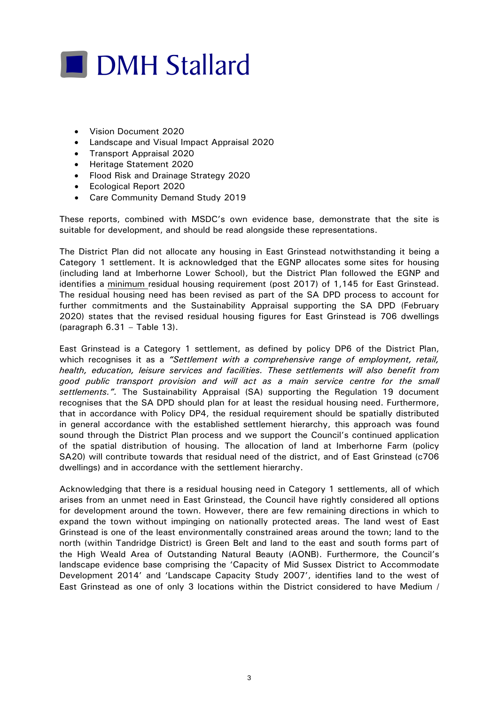

- Vision Document 2020
- Landscape and Visual Impact Appraisal 2020
- Transport Appraisal 2020
- Heritage Statement 2020
- Flood Risk and Drainage Strategy 2020
- Ecological Report 2020
- Care Community Demand Study 2019

These reports, combined with MSDC's own evidence base, demonstrate that the site is suitable for development, and should be read alongside these representations.

The District Plan did not allocate any housing in East Grinstead notwithstanding it being a Category 1 settlement. It is acknowledged that the EGNP allocates some sites for housing (including land at Imberhorne Lower School), but the District Plan followed the EGNP and identifies a minimum residual housing requirement (post 2017) of 1,145 for East Grinstead. The residual housing need has been revised as part of the SA DPD process to account for further commitments and the Sustainability Appraisal supporting the SA DPD (February 2020) states that the revised residual housing figures for East Grinstead is 706 dwellings (paragraph 6.31 – Table 13).

East Grinstead is a Category 1 settlement, as defined by policy DP6 of the District Plan, which recognises it as a *"Settlement with a comprehensive range of employment, retail, health, education, leisure services and facilities. These settlements will also benefit from good public transport provision and will act as a main service centre for the small settlements.".* The Sustainability Appraisal (SA) supporting the Regulation 19 document recognises that the SA DPD should plan for at least the residual housing need. Furthermore, that in accordance with Policy DP4, the residual requirement should be spatially distributed in general accordance with the established settlement hierarchy, this approach was found sound through the District Plan process and we support the Council's continued application of the spatial distribution of housing. The allocation of land at Imberhorne Farm (policy SA20) will contribute towards that residual need of the district, and of East Grinstead (c706 dwellings) and in accordance with the settlement hierarchy.

Acknowledging that there is a residual housing need in Category 1 settlements, all of which arises from an unmet need in East Grinstead, the Council have rightly considered all options for development around the town. However, there are few remaining directions in which to expand the town without impinging on nationally protected areas. The land west of East Grinstead is one of the least environmentally constrained areas around the town; land to the north (within Tandridge District) is Green Belt and land to the east and south forms part of the High Weald Area of Outstanding Natural Beauty (AONB). Furthermore, the Council's landscape evidence base comprising the 'Capacity of Mid Sussex District to Accommodate Development 2014' and 'Landscape Capacity Study 2007', identifies land to the west of East Grinstead as one of only 3 locations within the District considered to have Medium /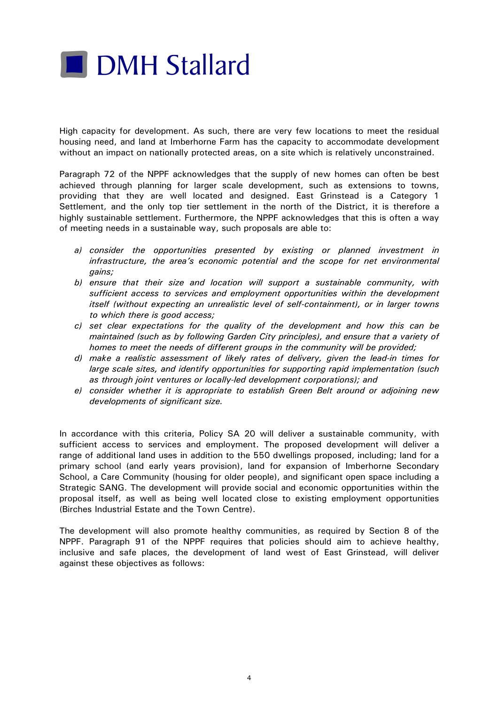

High capacity for development. As such, there are very few locations to meet the residual housing need, and land at Imberhorne Farm has the capacity to accommodate development without an impact on nationally protected areas, on a site which is relatively unconstrained.

Paragraph 72 of the NPPF acknowledges that the supply of new homes can often be best achieved through planning for larger scale development, such as extensions to towns, providing that they are well located and designed. East Grinstead is a Category 1 Settlement, and the only top tier settlement in the north of the District, it is therefore a highly sustainable settlement. Furthermore, the NPPF acknowledges that this is often a way of meeting needs in a sustainable way, such proposals are able to:

- *a) consider the opportunities presented by existing or planned investment in infrastructure, the area's economic potential and the scope for net environmental gains;*
- *b) ensure that their size and location will support a sustainable community, with sufficient access to services and employment opportunities within the development itself (without expecting an unrealistic level of self-containment), or in larger towns to which there is good access;*
- *c) set clear expectations for the quality of the development and how this can be maintained (such as by following Garden City principles), and ensure that a variety of homes to meet the needs of different groups in the community will be provided;*
- *d) make a realistic assessment of likely rates of delivery, given the lead-in times for large scale sites, and identify opportunities for supporting rapid implementation (such as through joint ventures or locally-led development corporations); and*
- *e) consider whether it is appropriate to establish Green Belt around or adjoining new developments of significant size.*

In accordance with this criteria, Policy SA 20 will deliver a sustainable community, with sufficient access to services and employment. The proposed development will deliver a range of additional land uses in addition to the 550 dwellings proposed, including; land for a primary school (and early years provision), land for expansion of Imberhorne Secondary School, a Care Community (housing for older people), and significant open space including a Strategic SANG. The development will provide social and economic opportunities within the proposal itself, as well as being well located close to existing employment opportunities (Birches Industrial Estate and the Town Centre).

The development will also promote healthy communities, as required by Section 8 of the NPPF. Paragraph 91 of the NPPF requires that policies should aim to achieve healthy, inclusive and safe places, the development of land west of East Grinstead, will deliver against these objectives as follows: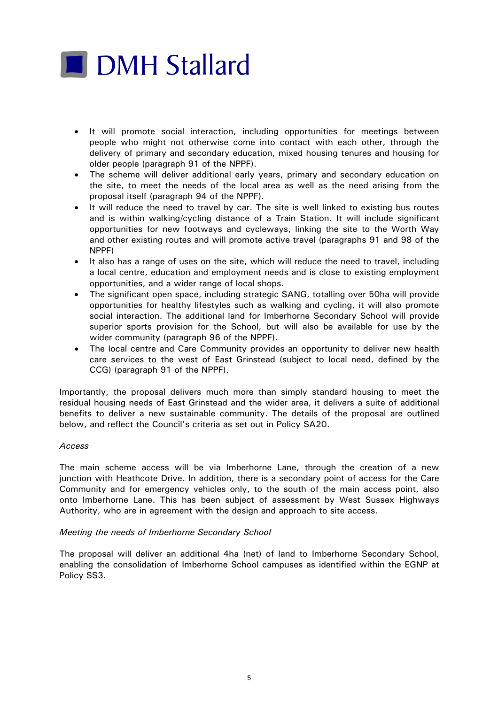# **DMH Stallard**

- It will promote social interaction, including opportunities for meetings between people who might not otherwise come into contact with each other, through the delivery of primary and secondary education, mixed housing tenures and housing for older people (paragraph 91 of the NPPF).
- The scheme will deliver additional early years, primary and secondary education on the site, to meet the needs of the local area as well as the need arising from the proposal itself (paragraph 94 of the NPPF).
- It will reduce the need to travel by car. The site is well linked to existing bus routes and is within walking/cycling distance of a Train Station. It will include significant opportunities for new footways and cycleways, linking the site to the Worth Way and other existing routes and will promote active travel (paragraphs 91 and 98 of the NPPF)
- It also has a range of uses on the site, which will reduce the need to travel, including a local centre, education and employment needs and is close to existing employment opportunities, and a wider range of local shops.
- The significant open space, including strategic SANG, totalling over 50ha will provide opportunities for healthy lifestyles such as walking and cycling, it will also promote social interaction. The additional land for Imberhorne Secondary School will provide superior sports provision for the School, but will also be available for use by the wider community (paragraph 96 of the NPPF).
- The local centre and Care Community provides an opportunity to deliver new health care services to the west of East Grinstead (subject to local need, defined by the CCG) (paragraph 91 of the NPPF).

Importantly, the proposal delivers much more than simply standard housing to meet the residual housing needs of East Grinstead and the wider area, it delivers a suite of additional benefits to deliver a new sustainable community. The details of the proposal are outlined below, and reflect the Council's criteria as set out in Policy SA20.

## *Access*

The main scheme access will be via Imberhorne Lane, through the creation of a new junction with Heathcote Drive. In addition, there is a secondary point of access for the Care Community and for emergency vehicles only, to the south of the main access point, also onto Imberhorne Lane. This has been subject of assessment by West Sussex Highways Authority, who are in agreement with the design and approach to site access.

## *Meeting the needs of Imberhorne Secondary School*

The proposal will deliver an additional 4ha (net) of land to Imberhorne Secondary School, enabling the consolidation of Imberhorne School campuses as identified within the EGNP at Policy SS3.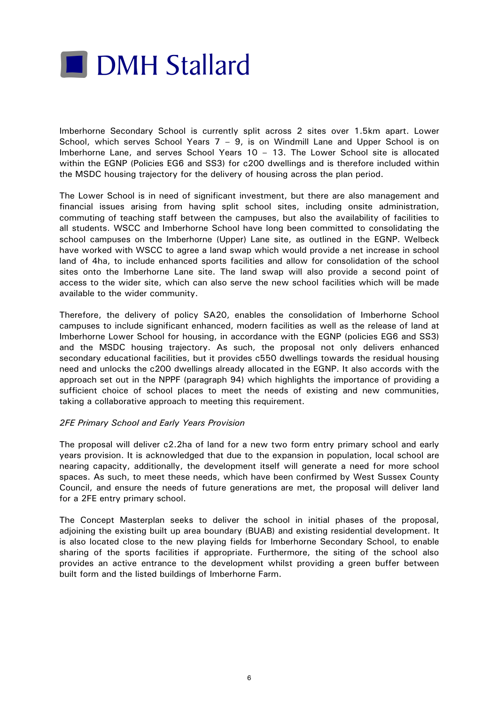

Imberhorne Secondary School is currently split across 2 sites over 1.5km apart. Lower School, which serves School Years  $7 - 9$ , is on Windmill Lane and Upper School is on Imberhorne Lane, and serves School Years 10 – 13. The Lower School site is allocated within the EGNP (Policies EG6 and SS3) for c200 dwellings and is therefore included within the MSDC housing trajectory for the delivery of housing across the plan period.

The Lower School is in need of significant investment, but there are also management and financial issues arising from having split school sites, including onsite administration, commuting of teaching staff between the campuses, but also the availability of facilities to all students. WSCC and Imberhorne School have long been committed to consolidating the school campuses on the Imberhorne (Upper) Lane site, as outlined in the EGNP. Welbeck have worked with WSCC to agree a land swap which would provide a net increase in school land of 4ha, to include enhanced sports facilities and allow for consolidation of the school sites onto the Imberhorne Lane site. The land swap will also provide a second point of access to the wider site, which can also serve the new school facilities which will be made available to the wider community.

Therefore, the delivery of policy SA20, enables the consolidation of Imberhorne School campuses to include significant enhanced, modern facilities as well as the release of land at Imberhorne Lower School for housing, in accordance with the EGNP (policies EG6 and SS3) and the MSDC housing trajectory. As such, the proposal not only delivers enhanced secondary educational facilities, but it provides c550 dwellings towards the residual housing need and unlocks the c200 dwellings already allocated in the EGNP. It also accords with the approach set out in the NPPF (paragraph 94) which highlights the importance of providing a sufficient choice of school places to meet the needs of existing and new communities, taking a collaborative approach to meeting this requirement.

## *2FE Primary School and Early Years Provision*

The proposal will deliver c2.2ha of land for a new two form entry primary school and early years provision. It is acknowledged that due to the expansion in population, local school are nearing capacity, additionally, the development itself will generate a need for more school spaces. As such, to meet these needs, which have been confirmed by West Sussex County Council, and ensure the needs of future generations are met, the proposal will deliver land for a 2FE entry primary school.

The Concept Masterplan seeks to deliver the school in initial phases of the proposal, adjoining the existing built up area boundary (BUAB) and existing residential development. It is also located close to the new playing fields for Imberhorne Secondary School, to enable sharing of the sports facilities if appropriate. Furthermore, the siting of the school also provides an active entrance to the development whilst providing a green buffer between built form and the listed buildings of Imberhorne Farm.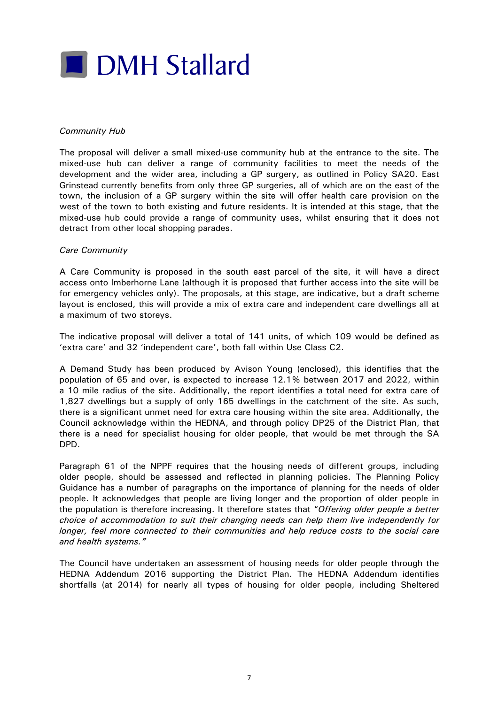

## *Community Hub*

The proposal will deliver a small mixed-use community hub at the entrance to the site. The mixed-use hub can deliver a range of community facilities to meet the needs of the development and the wider area, including a GP surgery, as outlined in Policy SA20. East Grinstead currently benefits from only three GP surgeries, all of which are on the east of the town, the inclusion of a GP surgery within the site will offer health care provision on the west of the town to both existing and future residents. It is intended at this stage, that the mixed-use hub could provide a range of community uses, whilst ensuring that it does not detract from other local shopping parades.

## *Care Community*

A Care Community is proposed in the south east parcel of the site, it will have a direct access onto Imberhorne Lane (although it is proposed that further access into the site will be for emergency vehicles only). The proposals, at this stage, are indicative, but a draft scheme layout is enclosed, this will provide a mix of extra care and independent care dwellings all at a maximum of two storeys.

The indicative proposal will deliver a total of 141 units, of which 109 would be defined as 'extra care' and 32 'independent care', both fall within Use Class C2.

A Demand Study has been produced by Avison Young (enclosed), this identifies that the population of 65 and over, is expected to increase 12.1% between 2017 and 2022, within a 10 mile radius of the site. Additionally, the report identifies a total need for extra care of 1,827 dwellings but a supply of only 165 dwellings in the catchment of the site. As such, there is a significant unmet need for extra care housing within the site area. Additionally, the Council acknowledge within the HEDNA, and through policy DP25 of the District Plan, that there is a need for specialist housing for older people, that would be met through the SA DPD.

Paragraph 61 of the NPPF requires that the housing needs of different groups, including older people, should be assessed and reflected in planning policies. The Planning Policy Guidance has a number of paragraphs on the importance of planning for the needs of older people. It acknowledges that people are living longer and the proportion of older people in the population is therefore increasing. It therefore states that "*Offering older people a better choice of accommodation to suit their changing needs can help them live independently for longer, feel more connected to their communities and help reduce costs to the social care and health systems."*

The Council have undertaken an assessment of housing needs for older people through the HEDNA Addendum 2016 supporting the District Plan. The HEDNA Addendum identifies shortfalls (at 2014) for nearly all types of housing for older people, including Sheltered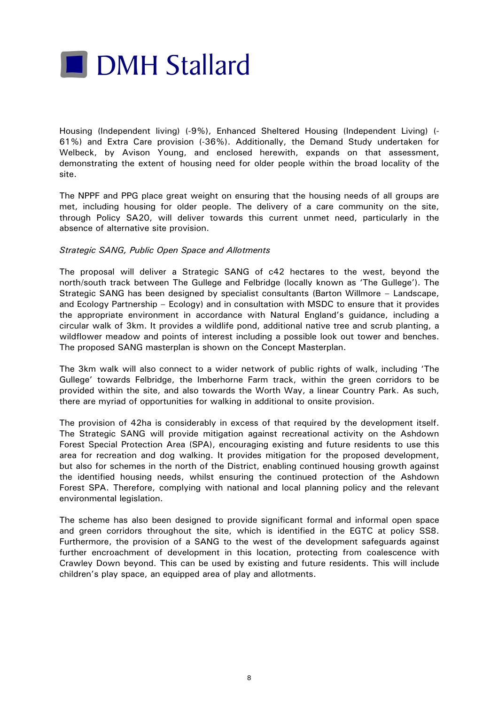

Housing (Independent living) (-9%), Enhanced Sheltered Housing (Independent Living) (- 61%) and Extra Care provision (-36%). Additionally, the Demand Study undertaken for Welbeck, by Avison Young, and enclosed herewith, expands on that assessment, demonstrating the extent of housing need for older people within the broad locality of the site.

The NPPF and PPG place great weight on ensuring that the housing needs of all groups are met, including housing for older people. The delivery of a care community on the site, through Policy SA20, will deliver towards this current unmet need, particularly in the absence of alternative site provision.

## *Strategic SANG, Public Open Space and Allotments*

The proposal will deliver a Strategic SANG of c42 hectares to the west, beyond the north/south track between The Gullege and Felbridge (locally known as 'The Gullege'). The Strategic SANG has been designed by specialist consultants (Barton Willmore – Landscape, and Ecology Partnership – Ecology) and in consultation with MSDC to ensure that it provides the appropriate environment in accordance with Natural England's guidance, including a circular walk of 3km. It provides a wildlife pond, additional native tree and scrub planting, a wildflower meadow and points of interest including a possible look out tower and benches. The proposed SANG masterplan is shown on the Concept Masterplan.

The 3km walk will also connect to a wider network of public rights of walk, including 'The Gullege' towards Felbridge, the Imberhorne Farm track, within the green corridors to be provided within the site, and also towards the Worth Way, a linear Country Park. As such, there are myriad of opportunities for walking in additional to onsite provision.

The provision of 42ha is considerably in excess of that required by the development itself. The Strategic SANG will provide mitigation against recreational activity on the Ashdown Forest Special Protection Area (SPA), encouraging existing and future residents to use this area for recreation and dog walking. It provides mitigation for the proposed development, but also for schemes in the north of the District, enabling continued housing growth against the identified housing needs, whilst ensuring the continued protection of the Ashdown Forest SPA. Therefore, complying with national and local planning policy and the relevant environmental legislation.

The scheme has also been designed to provide significant formal and informal open space and green corridors throughout the site, which is identified in the EGTC at policy SS8. Furthermore, the provision of a SANG to the west of the development safeguards against further encroachment of development in this location, protecting from coalescence with Crawley Down beyond. This can be used by existing and future residents. This will include children's play space, an equipped area of play and allotments.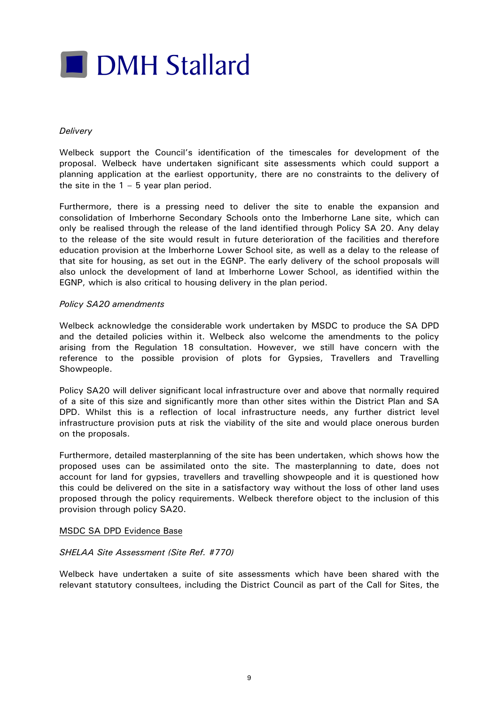

## *Delivery*

Welbeck support the Council's identification of the timescales for development of the proposal. Welbeck have undertaken significant site assessments which could support a planning application at the earliest opportunity, there are no constraints to the delivery of the site in the  $1 - 5$  year plan period.

Furthermore, there is a pressing need to deliver the site to enable the expansion and consolidation of Imberhorne Secondary Schools onto the Imberhorne Lane site, which can only be realised through the release of the land identified through Policy SA 20. Any delay to the release of the site would result in future deterioration of the facilities and therefore education provision at the Imberhorne Lower School site, as well as a delay to the release of that site for housing, as set out in the EGNP. The early delivery of the school proposals will also unlock the development of land at Imberhorne Lower School, as identified within the EGNP, which is also critical to housing delivery in the plan period.

## *Policy SA20 amendments*

Welbeck acknowledge the considerable work undertaken by MSDC to produce the SA DPD and the detailed policies within it. Welbeck also welcome the amendments to the policy arising from the Regulation 18 consultation. However, we still have concern with the reference to the possible provision of plots for Gypsies, Travellers and Travelling Showpeople.

Policy SA20 will deliver significant local infrastructure over and above that normally required of a site of this size and significantly more than other sites within the District Plan and SA DPD. Whilst this is a reflection of local infrastructure needs, any further district level infrastructure provision puts at risk the viability of the site and would place onerous burden on the proposals.

Furthermore, detailed masterplanning of the site has been undertaken, which shows how the proposed uses can be assimilated onto the site. The masterplanning to date, does not account for land for gypsies, travellers and travelling showpeople and it is questioned how this could be delivered on the site in a satisfactory way without the loss of other land uses proposed through the policy requirements. Welbeck therefore object to the inclusion of this provision through policy SA20.

## MSDC SA DPD Evidence Base

## *SHELAA Site Assessment (Site Ref. #770)*

Welbeck have undertaken a suite of site assessments which have been shared with the relevant statutory consultees, including the District Council as part of the Call for Sites, the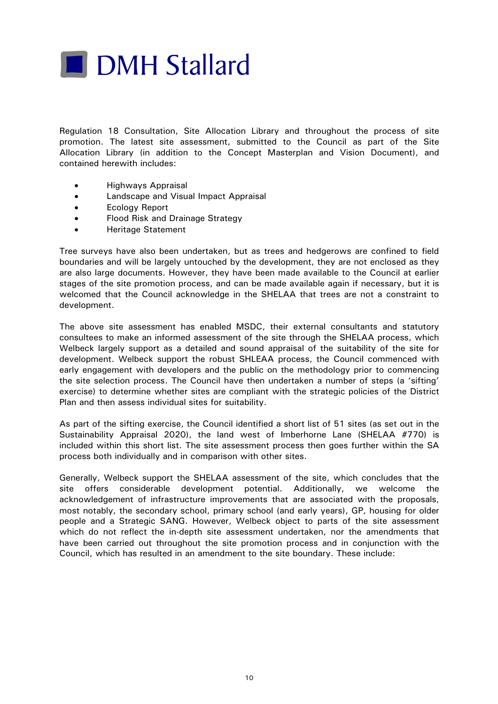

Regulation 18 Consultation, Site Allocation Library and throughout the process of site promotion. The latest site assessment, submitted to the Council as part of the Site Allocation Library (in addition to the Concept Masterplan and Vision Document), and contained herewith includes:

- Highways Appraisal
- Landscape and Visual Impact Appraisal
- Ecology Report
- Flood Risk and Drainage Strategy
- Heritage Statement

Tree surveys have also been undertaken, but as trees and hedgerows are confined to field boundaries and will be largely untouched by the development, they are not enclosed as they are also large documents. However, they have been made available to the Council at earlier stages of the site promotion process, and can be made available again if necessary, but it is welcomed that the Council acknowledge in the SHELAA that trees are not a constraint to development.

The above site assessment has enabled MSDC, their external consultants and statutory consultees to make an informed assessment of the site through the SHELAA process, which Welbeck largely support as a detailed and sound appraisal of the suitability of the site for development. Welbeck support the robust SHLEAA process, the Council commenced with early engagement with developers and the public on the methodology prior to commencing the site selection process. The Council have then undertaken a number of steps (a 'sifting' exercise) to determine whether sites are compliant with the strategic policies of the District Plan and then assess individual sites for suitability.

As part of the sifting exercise, the Council identified a short list of 51 sites (as set out in the Sustainability Appraisal 2020), the land west of Imberhorne Lane (SHELAA #770) is included within this short list. The site assessment process then goes further within the SA process both individually and in comparison with other sites.

Generally, Welbeck support the SHELAA assessment of the site, which concludes that the site offers considerable development potential. Additionally, we welcome the acknowledgement of infrastructure improvements that are associated with the proposals, most notably, the secondary school, primary school (and early years), GP, housing for older people and a Strategic SANG. However, Welbeck object to parts of the site assessment which do not reflect the in-depth site assessment undertaken, nor the amendments that have been carried out throughout the site promotion process and in conjunction with the Council, which has resulted in an amendment to the site boundary. These include: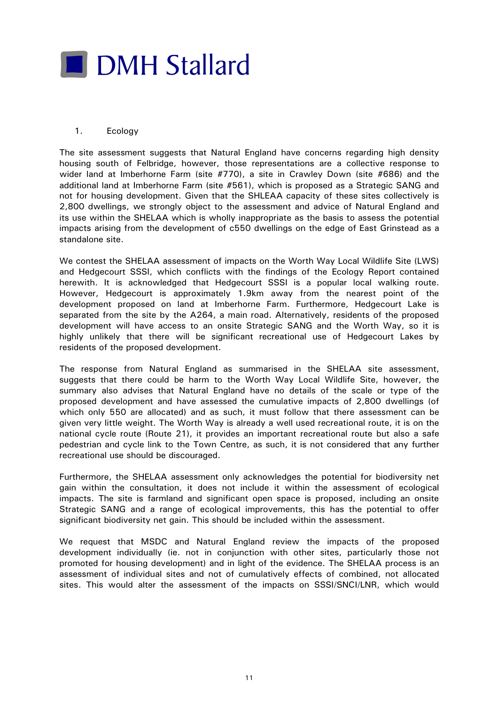

## 1. Ecology

The site assessment suggests that Natural England have concerns regarding high density housing south of Felbridge, however, those representations are a collective response to wider land at Imberhorne Farm (site #770), a site in Crawley Down (site #686) and the additional land at Imberhorne Farm (site #561), which is proposed as a Strategic SANG and not for housing development. Given that the SHLEAA capacity of these sites collectively is 2,800 dwellings, we strongly object to the assessment and advice of Natural England and its use within the SHELAA which is wholly inappropriate as the basis to assess the potential impacts arising from the development of c550 dwellings on the edge of East Grinstead as a standalone site.

We contest the SHELAA assessment of impacts on the Worth Way Local Wildlife Site (LWS) and Hedgecourt SSSI, which conflicts with the findings of the Ecology Report contained herewith. It is acknowledged that Hedgecourt SSSI is a popular local walking route. However, Hedgecourt is approximately 1.9km away from the nearest point of the development proposed on land at Imberhorne Farm. Furthermore, Hedgecourt Lake is separated from the site by the A264, a main road. Alternatively, residents of the proposed development will have access to an onsite Strategic SANG and the Worth Way, so it is highly unlikely that there will be significant recreational use of Hedgecourt Lakes by residents of the proposed development.

The response from Natural England as summarised in the SHELAA site assessment, suggests that there could be harm to the Worth Way Local Wildlife Site, however, the summary also advises that Natural England have no details of the scale or type of the proposed development and have assessed the cumulative impacts of 2,800 dwellings (of which only 550 are allocated) and as such, it must follow that there assessment can be given very little weight. The Worth Way is already a well used recreational route, it is on the national cycle route (Route 21), it provides an important recreational route but also a safe pedestrian and cycle link to the Town Centre, as such, it is not considered that any further recreational use should be discouraged.

Furthermore, the SHELAA assessment only acknowledges the potential for biodiversity net gain within the consultation, it does not include it within the assessment of ecological impacts. The site is farmland and significant open space is proposed, including an onsite Strategic SANG and a range of ecological improvements, this has the potential to offer significant biodiversity net gain. This should be included within the assessment.

We request that MSDC and Natural England review the impacts of the proposed development individually (ie. not in conjunction with other sites, particularly those not promoted for housing development) and in light of the evidence. The SHELAA process is an assessment of individual sites and not of cumulatively effects of combined, not allocated sites. This would alter the assessment of the impacts on SSSI/SNCI/LNR, which would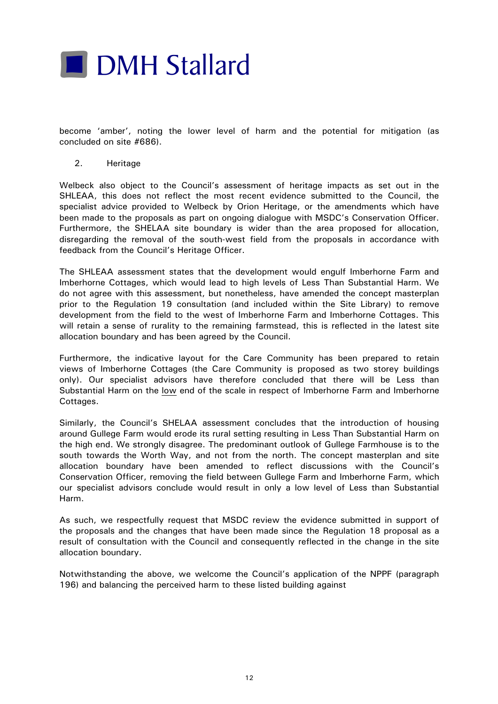

become 'amber', noting the lower level of harm and the potential for mitigation (as concluded on site #686).

2. Heritage

Welbeck also object to the Council's assessment of heritage impacts as set out in the SHLEAA, this does not reflect the most recent evidence submitted to the Council, the specialist advice provided to Welbeck by Orion Heritage, or the amendments which have been made to the proposals as part on ongoing dialogue with MSDC's Conservation Officer. Furthermore, the SHELAA site boundary is wider than the area proposed for allocation, disregarding the removal of the south-west field from the proposals in accordance with feedback from the Council's Heritage Officer.

The SHLEAA assessment states that the development would engulf Imberhorne Farm and Imberhorne Cottages, which would lead to high levels of Less Than Substantial Harm. We do not agree with this assessment, but nonetheless, have amended the concept masterplan prior to the Regulation 19 consultation (and included within the Site Library) to remove development from the field to the west of Imberhorne Farm and Imberhorne Cottages. This will retain a sense of rurality to the remaining farmstead, this is reflected in the latest site allocation boundary and has been agreed by the Council.

Furthermore, the indicative layout for the Care Community has been prepared to retain views of Imberhorne Cottages (the Care Community is proposed as two storey buildings only). Our specialist advisors have therefore concluded that there will be Less than Substantial Harm on the low end of the scale in respect of Imberhorne Farm and Imberhorne Cottages.

Similarly, the Council's SHELAA assessment concludes that the introduction of housing around Gullege Farm would erode its rural setting resulting in Less Than Substantial Harm on the high end. We strongly disagree. The predominant outlook of Gullege Farmhouse is to the south towards the Worth Way, and not from the north. The concept masterplan and site allocation boundary have been amended to reflect discussions with the Council's Conservation Officer, removing the field between Gullege Farm and Imberhorne Farm, which our specialist advisors conclude would result in only a low level of Less than Substantial Harm.

As such, we respectfully request that MSDC review the evidence submitted in support of the proposals and the changes that have been made since the Regulation 18 proposal as a result of consultation with the Council and consequently reflected in the change in the site allocation boundary.

Notwithstanding the above, we welcome the Council's application of the NPPF (paragraph 196) and balancing the perceived harm to these listed building against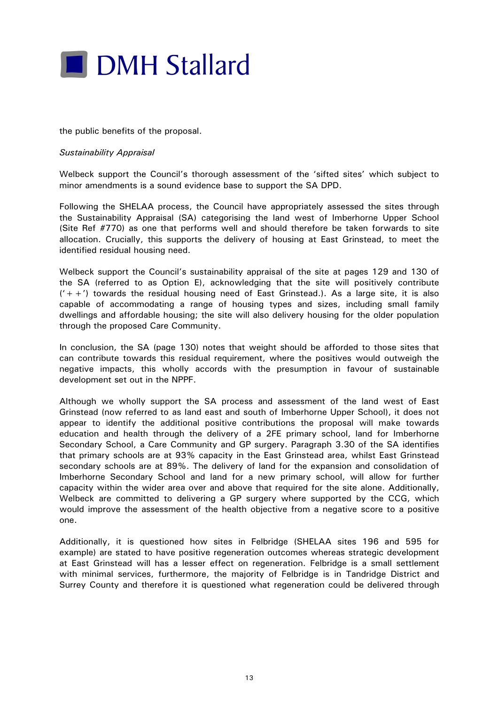

the public benefits of the proposal.

#### *Sustainability Appraisal*

Welbeck support the Council's thorough assessment of the 'sifted sites' which subject to minor amendments is a sound evidence base to support the SA DPD.

Following the SHELAA process, the Council have appropriately assessed the sites through the Sustainability Appraisal (SA) categorising the land west of Imberhorne Upper School (Site Ref #770) as one that performs well and should therefore be taken forwards to site allocation. Crucially, this supports the delivery of housing at East Grinstead, to meet the identified residual housing need.

Welbeck support the Council's sustainability appraisal of the site at pages 129 and 130 of the SA (referred to as Option E), acknowledging that the site will positively contribute  $(2i+1)$  towards the residual housing need of East Grinstead.). As a large site, it is also capable of accommodating a range of housing types and sizes, including small family dwellings and affordable housing; the site will also delivery housing for the older population through the proposed Care Community.

In conclusion, the SA (page 130) notes that weight should be afforded to those sites that can contribute towards this residual requirement, where the positives would outweigh the negative impacts, this wholly accords with the presumption in favour of sustainable development set out in the NPPF.

Although we wholly support the SA process and assessment of the land west of East Grinstead (now referred to as land east and south of Imberhorne Upper School), it does not appear to identify the additional positive contributions the proposal will make towards education and health through the delivery of a 2FE primary school, land for Imberhorne Secondary School, a Care Community and GP surgery. Paragraph 3.30 of the SA identifies that primary schools are at 93% capacity in the East Grinstead area, whilst East Grinstead secondary schools are at 89%. The delivery of land for the expansion and consolidation of Imberhorne Secondary School and land for a new primary school, will allow for further capacity within the wider area over and above that required for the site alone. Additionally, Welbeck are committed to delivering a GP surgery where supported by the CCG, which would improve the assessment of the health objective from a negative score to a positive one.

Additionally, it is questioned how sites in Felbridge (SHELAA sites 196 and 595 for example) are stated to have positive regeneration outcomes whereas strategic development at East Grinstead will has a lesser effect on regeneration. Felbridge is a small settlement with minimal services, furthermore, the majority of Felbridge is in Tandridge District and Surrey County and therefore it is questioned what regeneration could be delivered through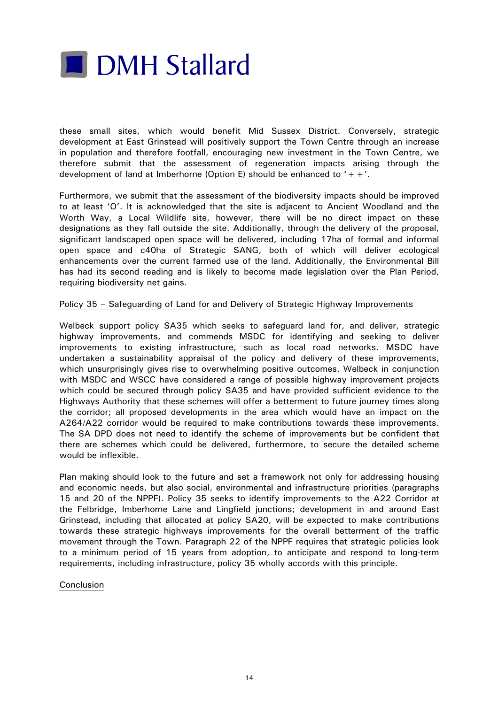

these small sites, which would benefit Mid Sussex District. Conversely, strategic development at East Grinstead will positively support the Town Centre through an increase in population and therefore footfall, encouraging new investment in the Town Centre, we therefore submit that the assessment of regeneration impacts arising through the development of land at Imberhorne (Option E) should be enhanced to  $'++'.$ 

Furthermore, we submit that the assessment of the biodiversity impacts should be improved to at least 'O'. It is acknowledged that the site is adjacent to Ancient Woodland and the Worth Way, a Local Wildlife site, however, there will be no direct impact on these designations as they fall outside the site. Additionally, through the delivery of the proposal, significant landscaped open space will be delivered, including 17ha of formal and informal open space and c40ha of Strategic SANG, both of which will deliver ecological enhancements over the current farmed use of the land. Additionally, the Environmental Bill has had its second reading and is likely to become made legislation over the Plan Period, requiring biodiversity net gains.

## Policy 35 – Safeguarding of Land for and Delivery of Strategic Highway Improvements

Welbeck support policy SA35 which seeks to safeguard land for, and deliver, strategic highway improvements, and commends MSDC for identifying and seeking to deliver improvements to existing infrastructure, such as local road networks. MSDC have undertaken a sustainability appraisal of the policy and delivery of these improvements, which unsurprisingly gives rise to overwhelming positive outcomes. Welbeck in conjunction with MSDC and WSCC have considered a range of possible highway improvement projects which could be secured through policy SA35 and have provided sufficient evidence to the Highways Authority that these schemes will offer a betterment to future journey times along the corridor; all proposed developments in the area which would have an impact on the A264/A22 corridor would be required to make contributions towards these improvements. The SA DPD does not need to identify the scheme of improvements but be confident that there are schemes which could be delivered, furthermore, to secure the detailed scheme would be inflexible.

Plan making should look to the future and set a framework not only for addressing housing and economic needs, but also social, environmental and infrastructure priorities (paragraphs 15 and 20 of the NPPF). Policy 35 seeks to identify improvements to the A22 Corridor at the Felbridge, Imberhorne Lane and Lingfield junctions; development in and around East Grinstead, including that allocated at policy SA20, will be expected to make contributions towards these strategic highways improvements for the overall betterment of the traffic movement through the Town. Paragraph 22 of the NPPF requires that strategic policies look to a minimum period of 15 years from adoption, to anticipate and respond to long-term requirements, including infrastructure, policy 35 wholly accords with this principle.

#### Conclusion